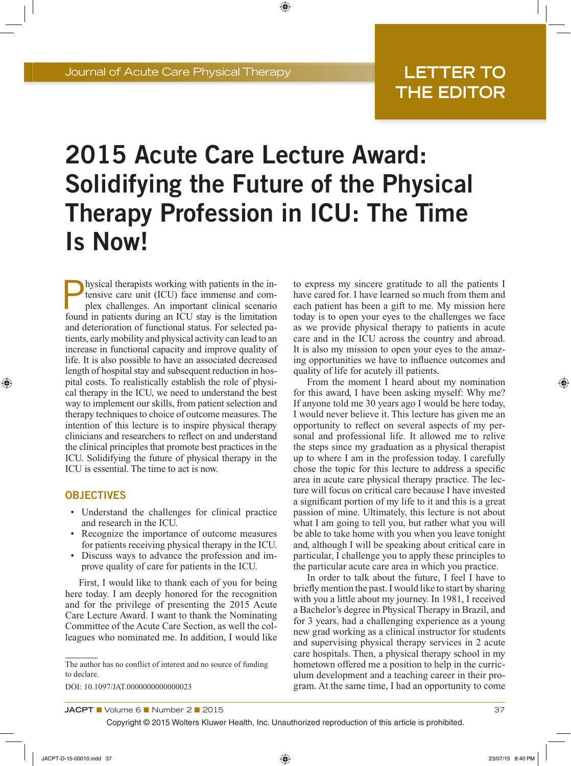## **2015 Acute Care Lecture Award: Solidifying the Future of the Physical Therapy Profession in ICU: The Time Is Now!**

**Physical therapists working with patients in the in-**<br>tensive care unit (ICU) face immense and com-<br>plex challenges. An important clinical scenario tensive care unit (ICU) face immense and complex challenges. An important clinical scenario found in patients during an ICU stay is the limitation and deterioration of functional status. For selected patients, early mobility and physical activity can lead to an increase in functional capacity and improve quality of life. It is also possible to have an associated decreased length of hospital stay and subsequent reduction in hospital costs. To realistically establish the role of physical therapy in the ICU, we need to understand the best way to implement our skills, from patient selection and therapy techniques to choice of outcome measures. The intention of this lecture is to inspire physical therapy clinicians and researchers to reflect on and understand the clinical principles that promote best practices in the ICU. Solidifying the future of physical therapy in the ICU is essential. The time to act is now.

## **OBJECTIVES**

- Understand the challenges for clinical practice and research in the ICU.
- Recognize the importance of outcome measures for patients receiving physical therapy in the ICU.
- Discuss ways to advance the profession and improve quality of care for patients in the ICU.

First, I would like to thank each of you for being here today. I am deeply honored for the recognition and for the privilege of presenting the 2015 Acute Care Lecture Award. I want to thank the Nominating Committee of the Acute Care Section, as well the colleagues who nominated me. In addition, I would like

The author has no conflict of interest and no source of funding to declare.

DOI: 10.1097/JAT.0000000000000023

to express my sincere gratitude to all the patients I have cared for. I have learned so much from them and each patient has been a gift to me. My mission here today is to open your eyes to the challenges we face as we provide physical therapy to patients in acute care and in the ICU across the country and abroad. It is also my mission to open your eyes to the amazing opportunities we have to influence outcomes and quality of life for acutely ill patients.

From the moment I heard about my nomination for this award, I have been asking myself: Why me? If anyone told me 30 years ago I would be here today, I would never believe it. This lecture has given me an opportunity to reflect on several aspects of my personal and professional life. It allowed me to relive the steps since my graduation as a physical therapist up to where I am in the profession today. I carefully chose the topic for this lecture to address a specific area in acute care physical therapy practice. The lecture will focus on critical care because I have invested a significant portion of my life to it and this is a great passion of mine. Ultimately, this lecture is not about what I am going to tell you, but rather what you will be able to take home with you when you leave tonight and, although I will be speaking about critical care in particular, I challenge you to apply these principles to the particular acute care area in which you practice.

In order to talk about the future, I feel I have to briefly mention the past. I would like to start by sharing with you a little about my journey. In 1981, I received a Bachelor's degree in Physical Therapy in Brazil, and for 3 years, had a challenging experience as a young new grad working as a clinical instructor for students and supervising physical therapy services in 2 acute care hospitals. Then, a physical therapy school in my hometown offered me a position to help in the curriculum development and a teaching career in their program. At the same time, I had an opportunity to come

**JACPT** ■ Volume 6 ■ Number 2 ■ 2015 37

Copyright © 2015 Wolters Kluwer Health, Inc. Unauthorized reproduction of this article is prohibited.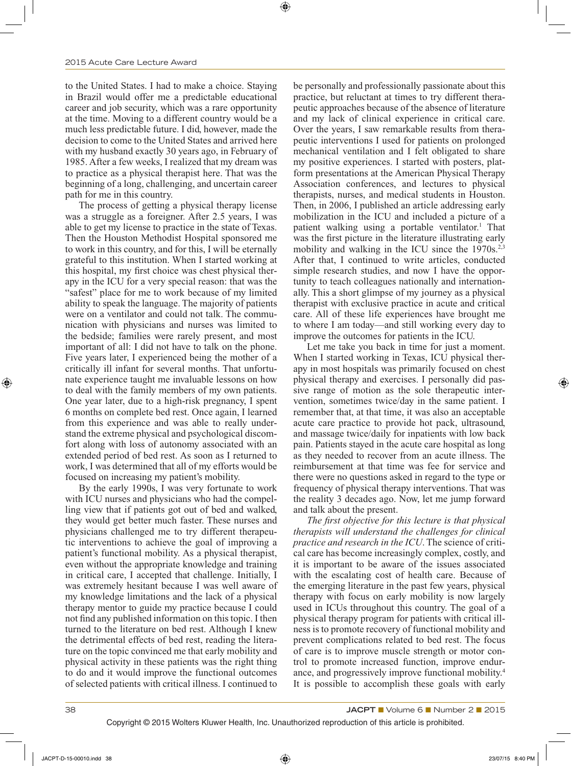to the United States. I had to make a choice. Staying in Brazil would offer me a predictable educational career and job security, which was a rare opportunity at the time. Moving to a different country would be a much less predictable future. I did, however, made the decision to come to the United States and arrived here with my husband exactly 30 years ago, in February of 1985. After a few weeks, I realized that my dream was to practice as a physical therapist here. That was the beginning of a long, challenging, and uncertain career path for me in this country.

The process of getting a physical therapy license was a struggle as a foreigner. After 2.5 years, I was able to get my license to practice in the state of Texas. Then the Houston Methodist Hospital sponsored me to work in this country, and for this, I will be eternally grateful to this institution. When I started working at this hospital, my first choice was chest physical therapy in the ICU for a very special reason: that was the "safest" place for me to work because of my limited ability to speak the language. The majority of patients were on a ventilator and could not talk. The communication with physicians and nurses was limited to the bedside; families were rarely present, and most important of all: I did not have to talk on the phone. Five years later, I experienced being the mother of a critically ill infant for several months. That unfortunate experience taught me invaluable lessons on how to deal with the family members of my own patients. One year later, due to a high-risk pregnancy, I spent 6 months on complete bed rest. Once again, I learned from this experience and was able to really understand the extreme physical and psychological discomfort along with loss of autonomy associated with an extended period of bed rest. As soon as I returned to work, I was determined that all of my efforts would be focused on increasing my patient's mobility.

By the early 1990s, I was very fortunate to work with ICU nurses and physicians who had the compelling view that if patients got out of bed and walked, they would get better much faster. These nurses and physicians challenged me to try different therapeutic interventions to achieve the goal of improving a patient's functional mobility. As a physical therapist, even without the appropriate knowledge and training in critical care, I accepted that challenge. Initially, I was extremely hesitant because I was well aware of my knowledge limitations and the lack of a physical therapy mentor to guide my practice because I could not find any published information on this topic. I then turned to the literature on bed rest. Although I knew the detrimental effects of bed rest, reading the literature on the topic convinced me that early mobility and physical activity in these patients was the right thing to do and it would improve the functional outcomes of selected patients with critical illness. I continued to

be personally and professionally passionate about this practice, but reluctant at times to try different therapeutic approaches because of the absence of literature and my lack of clinical experience in critical care. Over the years, I saw remarkable results from therapeutic interventions I used for patients on prolonged mechanical ventilation and I felt obligated to share my positive experiences. I started with posters, platform presentations at the American Physical Therapy Association conferences, and lectures to physical therapists, nurses, and medical students in Houston. Then, in 2006, I published an article addressing early mobilization in the ICU and included a picture of a patient walking using a portable ventilator.<sup>1</sup> That was the first picture in the literature illustrating early mobility and walking in the ICU since the  $1970s^{2,3}$ After that, I continued to write articles, conducted simple research studies, and now I have the opportunity to teach colleagues nationally and internationally. This a short glimpse of my journey as a physical therapist with exclusive practice in acute and critical care. All of these life experiences have brought me to where I am today—and still working every day to improve the outcomes for patients in the ICU.

Let me take you back in time for just a moment. When I started working in Texas, ICU physical therapy in most hospitals was primarily focused on chest physical therapy and exercises. I personally did passive range of motion as the sole therapeutic intervention, sometimes twice/day in the same patient. I remember that, at that time, it was also an acceptable acute care practice to provide hot pack, ultrasound, and massage twice/daily for inpatients with low back pain. Patients stayed in the acute care hospital as long as they needed to recover from an acute illness. The reimbursement at that time was fee for service and there were no questions asked in regard to the type or frequency of physical therapy interventions. That was the reality 3 decades ago. Now, let me jump forward and talk about the present.

*The first objective for this lecture is that physical therapists will understand the challenges for clinical practice and research in the ICU*. The science of critical care has become increasingly complex, costly, and it is important to be aware of the issues associated with the escalating cost of health care. Because of the emerging literature in the past few years, physical therapy with focus on early mobility is now largely used in ICUs throughout this country. The goal of a physical therapy program for patients with critical illness is to promote recovery of functional mobility and prevent complications related to bed rest. The focus of care is to improve muscle strength or motor control to promote increased function, improve endurance, and progressively improve functional mobility.4 It is possible to accomplish these goals with early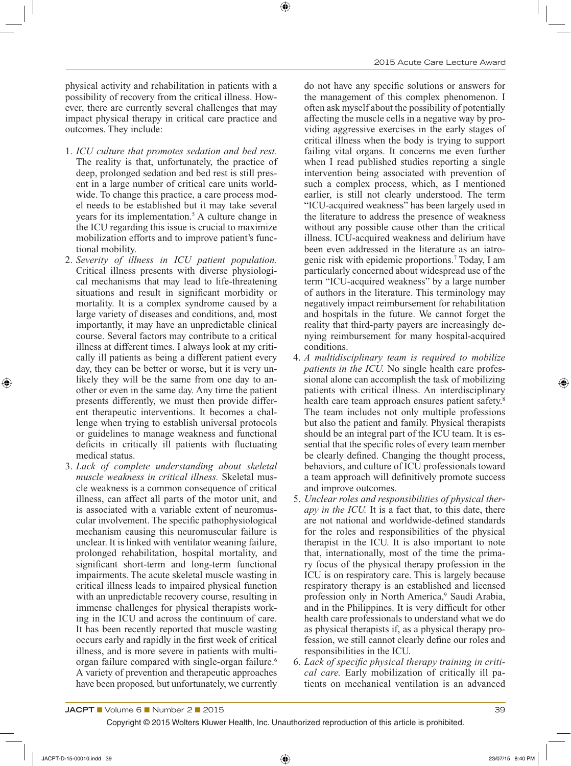physical activity and rehabilitation in patients with a possibility of recovery from the critical illness. However, there are currently several challenges that may impact physical therapy in critical care practice and outcomes. They include:

- 1. *ICU culture that promotes sedation and bed rest.* The reality is that, unfortunately, the practice of deep, prolonged sedation and bed rest is still present in a large number of critical care units worldwide. To change this practice, a care process model needs to be established but it may take several years for its implementation.<sup>5</sup> A culture change in the ICU regarding this issue is crucial to maximize mobilization efforts and to improve patient's functional mobility.
- 2. *Severity of illness in ICU patient population.* Critical illness presents with diverse physiological mechanisms that may lead to life-threatening situations and result in significant morbidity or mortality. It is a complex syndrome caused by a large variety of diseases and conditions, and, most importantly, it may have an unpredictable clinical course. Several factors may contribute to a critical illness at different times. I always look at my critically ill patients as being a different patient every day, they can be better or worse, but it is very unlikely they will be the same from one day to another or even in the same day. Any time the patient presents differently, we must then provide different therapeutic interventions. It becomes a challenge when trying to establish universal protocols or guidelines to manage weakness and functional deficits in critically ill patients with fluctuating medical status.
- 3. *Lack of complete understanding about skeletal muscle weakness in critical illness.* Skeletal muscle weakness is a common consequence of critical illness, can affect all parts of the motor unit, and is associated with a variable extent of neuromuscular involvement. The specific pathophysiological mechanism causing this neuromuscular failure is unclear. It is linked with ventilator weaning failure, prolonged rehabilitation, hospital mortality, and significant short-term and long-term functional impairments. The acute skeletal muscle wasting in critical illness leads to impaired physical function with an unpredictable recovery course, resulting in immense challenges for physical therapists working in the ICU and across the continuum of care. It has been recently reported that muscle wasting occurs early and rapidly in the first week of critical illness, and is more severe in patients with multiorgan failure compared with single-organ failure.<sup>6</sup> A variety of prevention and therapeutic approaches have been proposed, but unfortunately, we currently

do not have any specific solutions or answers for the management of this complex phenomenon. I often ask myself about the possibility of potentially affecting the muscle cells in a negative way by providing aggressive exercises in the early stages of critical illness when the body is trying to support failing vital organs. It concerns me even further when I read published studies reporting a single intervention being associated with prevention of such a complex process, which, as I mentioned earlier, is still not clearly understood. The term "ICU-acquired weakness" has been largely used in the literature to address the presence of weakness without any possible cause other than the critical illness. ICU-acquired weakness and delirium have been even addressed in the literature as an iatrogenic risk with epidemic proportions.7 Today, I am particularly concerned about widespread use of the term "ICU-acquired weakness" by a large number of authors in the literature. This terminology may negatively impact reimbursement for rehabilitation and hospitals in the future. We cannot forget the reality that third-party payers are increasingly denying reimbursement for many hospital-acquired conditions.

- 4. *A multidisciplinary team is required to mobilize patients in the ICU.* No single health care professional alone can accomplish the task of mobilizing patients with critical illness. An interdisciplinary health care team approach ensures patient safety.<sup>8</sup> The team includes not only multiple professions but also the patient and family. Physical therapists should be an integral part of the ICU team. It is essential that the specific roles of every team member be clearly defined. Changing the thought process, behaviors, and culture of ICU professionals toward a team approach will definitively promote success and improve outcomes.
- 5. *Unclear roles and responsibilities of physical therapy in the ICU.* It is a fact that, to this date, there are not national and worldwide-defined standards for the roles and responsibilities of the physical therapist in the ICU. It is also important to note that, internationally, most of the time the primary focus of the physical therapy profession in the ICU is on respiratory care. This is largely because respiratory therapy is an established and licensed profession only in North America,<sup>9</sup> Saudi Arabia, and in the Philippines. It is very difficult for other health care professionals to understand what we do as physical therapists if, as a physical therapy profession, we still cannot clearly define our roles and responsibilities in the ICU.
- 6. *Lack of specific physical therapy training in critical care.* Early mobilization of critically ill patients on mechanical ventilation is an advanced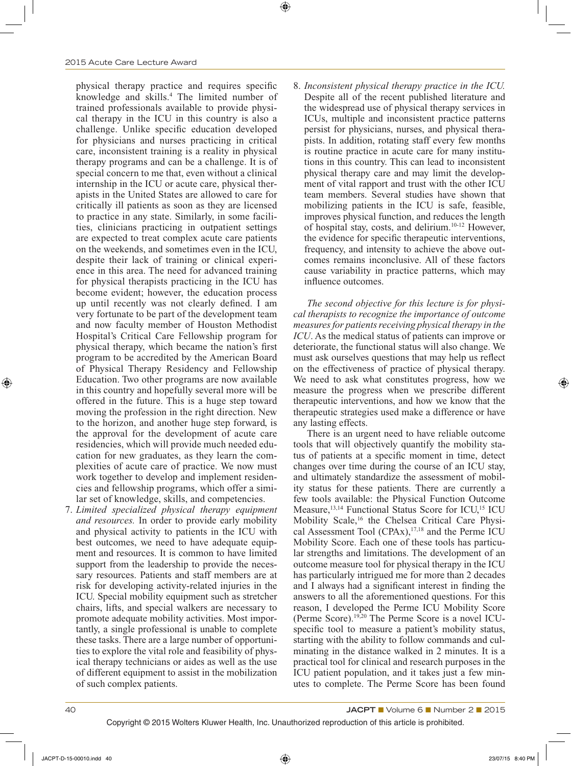physical therapy practice and requires specific knowledge and skills.4 The limited number of trained professionals available to provide physical therapy in the ICU in this country is also a challenge. Unlike specific education developed for physicians and nurses practicing in critical care, inconsistent training is a reality in physical therapy programs and can be a challenge. It is of special concern to me that, even without a clinical internship in the ICU or acute care, physical therapists in the United States are allowed to care for critically ill patients as soon as they are licensed to practice in any state. Similarly, in some facilities, clinicians practicing in outpatient settings are expected to treat complex acute care patients on the weekends, and sometimes even in the ICU, despite their lack of training or clinical experience in this area. The need for advanced training for physical therapists practicing in the ICU has become evident; however, the education process up until recently was not clearly defined. I am very fortunate to be part of the development team and now faculty member of Houston Methodist Hospital's Critical Care Fellowship program for physical therapy, which became the nation's first program to be accredited by the American Board of Physical Therapy Residency and Fellowship Education. Two other programs are now available in this country and hopefully several more will be offered in the future. This is a huge step toward moving the profession in the right direction. New to the horizon, and another huge step forward, is the approval for the development of acute care residencies, which will provide much needed education for new graduates, as they learn the complexities of acute care of practice. We now must work together to develop and implement residencies and fellowship programs, which offer a similar set of knowledge, skills, and competencies.

7. *Limited specialized physical therapy equipment and resources.* In order to provide early mobility and physical activity to patients in the ICU with best outcomes, we need to have adequate equipment and resources. It is common to have limited support from the leadership to provide the necessary resources. Patients and staff members are at risk for developing activity-related injuries in the ICU. Special mobility equipment such as stretcher chairs, lifts, and special walkers are necessary to promote adequate mobility activities. Most importantly, a single professional is unable to complete these tasks. There are a large number of opportunities to explore the vital role and feasibility of physical therapy technicians or aides as well as the use of different equipment to assist in the mobilization of such complex patients.

8. *Inconsistent physical therapy practice in the ICU.* Despite all of the recent published literature and the widespread use of physical therapy services in ICUs, multiple and inconsistent practice patterns persist for physicians, nurses, and physical therapists. In addition, rotating staff every few months is routine practice in acute care for many institutions in this country. This can lead to inconsistent physical therapy care and may limit the development of vital rapport and trust with the other ICU team members. Several studies have shown that mobilizing patients in the ICU is safe, feasible, improves physical function, and reduces the length of hospital stay, costs, and delirium.10-12 However, the evidence for specific therapeutic interventions, frequency, and intensity to achieve the above outcomes remains inconclusive. All of these factors cause variability in practice patterns, which may influence outcomes.

*The second objective for this lecture is for physical therapists to recognize the importance of outcome measures for patients receiving physical therapy in the ICU*. As the medical status of patients can improve or deteriorate, the functional status will also change. We must ask ourselves questions that may help us reflect on the effectiveness of practice of physical therapy. We need to ask what constitutes progress, how we measure the progress when we prescribe different therapeutic interventions, and how we know that the therapeutic strategies used make a difference or have any lasting effects.

There is an urgent need to have reliable outcome tools that will objectively quantify the mobility status of patients at a specific moment in time, detect changes over time during the course of an ICU stay, and ultimately standardize the assessment of mobility status for these patients. There are currently a few tools available: the Physical Function Outcome Measure,<sup>13,14</sup> Functional Status Score for ICU,<sup>15</sup> ICU Mobility Scale,<sup>16</sup> the Chelsea Critical Care Physical Assessment Tool (CPAx), $17,18$  and the Perme ICU Mobility Score. Each one of these tools has particular strengths and limitations. The development of an outcome measure tool for physical therapy in the ICU has particularly intrigued me for more than 2 decades and I always had a significant interest in finding the answers to all the aforementioned questions. For this reason, I developed the Perme ICU Mobility Score (Perme Score).19,20 The Perme Score is a novel ICUspecific tool to measure a patient's mobility status, starting with the ability to follow commands and culminating in the distance walked in 2 minutes. It is a practical tool for clinical and research purposes in the ICU patient population, and it takes just a few minutes to complete. The Perme Score has been found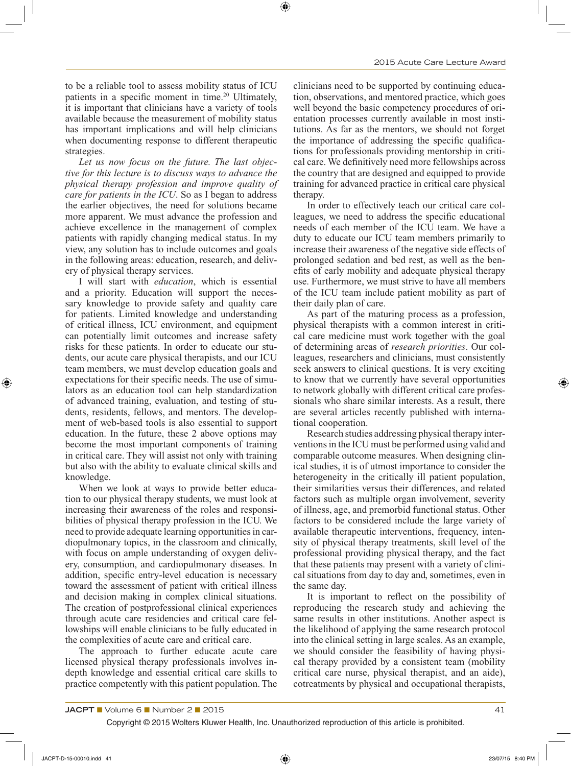to be a reliable tool to assess mobility status of ICU patients in a specific moment in time.<sup>20</sup> Ultimately, it is important that clinicians have a variety of tools available because the measurement of mobility status has important implications and will help clinicians when documenting response to different therapeutic strategies.

*Let us now focus on the future. The last objective for this lecture is to discuss ways to advance the physical therapy profession and improve quality of care for patients in the ICU*. So as I began to address the earlier objectives, the need for solutions became more apparent. We must advance the profession and achieve excellence in the management of complex patients with rapidly changing medical status. In my view, any solution has to include outcomes and goals in the following areas: education, research, and delivery of physical therapy services.

I will start with *education*, which is essential and a priority. Education will support the necessary knowledge to provide safety and quality care for patients. Limited knowledge and understanding of critical illness, ICU environment, and equipment can potentially limit outcomes and increase safety risks for these patients. In order to educate our students, our acute care physical therapists, and our ICU team members, we must develop education goals and expectations for their specific needs. The use of simulators as an education tool can help standardization of advanced training, evaluation, and testing of students, residents, fellows, and mentors. The development of web-based tools is also essential to support education. In the future, these 2 above options may become the most important components of training in critical care. They will assist not only with training but also with the ability to evaluate clinical skills and knowledge.

When we look at ways to provide better education to our physical therapy students, we must look at increasing their awareness of the roles and responsibilities of physical therapy profession in the ICU. We need to provide adequate learning opportunities in cardiopulmonary topics, in the classroom and clinically, with focus on ample understanding of oxygen delivery, consumption, and cardiopulmonary diseases. In addition, specific entry-level education is necessary toward the assessment of patient with critical illness and decision making in complex clinical situations. The creation of postprofessional clinical experiences through acute care residencies and critical care fellowships will enable clinicians to be fully educated in the complexities of acute care and critical care.

The approach to further educate acute care licensed physical therapy professionals involves indepth knowledge and essential critical care skills to practice competently with this patient population. The

clinicians need to be supported by continuing education, observations, and mentored practice, which goes well beyond the basic competency procedures of orientation processes currently available in most institutions. As far as the mentors, we should not forget the importance of addressing the specific qualifications for professionals providing mentorship in critical care. We definitively need more fellowships across the country that are designed and equipped to provide training for advanced practice in critical care physical therapy.

In order to effectively teach our critical care colleagues, we need to address the specific educational needs of each member of the ICU team. We have a duty to educate our ICU team members primarily to increase their awareness of the negative side effects of prolonged sedation and bed rest, as well as the benefits of early mobility and adequate physical therapy use. Furthermore, we must strive to have all members of the ICU team include patient mobility as part of their daily plan of care.

As part of the maturing process as a profession, physical therapists with a common interest in critical care medicine must work together with the goal of determining areas of *research priorities*. Our colleagues, researchers and clinicians, must consistently seek answers to clinical questions. It is very exciting to know that we currently have several opportunities to network globally with different critical care professionals who share similar interests. As a result, there are several articles recently published with international cooperation.

Research studies addressing physical therapy interventions in the ICU must be performed using valid and comparable outcome measures. When designing clinical studies, it is of utmost importance to consider the heterogeneity in the critically ill patient population, their similarities versus their differences, and related factors such as multiple organ involvement, severity of illness, age, and premorbid functional status. Other factors to be considered include the large variety of available therapeutic interventions, frequency, intensity of physical therapy treatments, skill level of the professional providing physical therapy, and the fact that these patients may present with a variety of clinical situations from day to day and, sometimes, even in the same day.

It is important to reflect on the possibility of reproducing the research study and achieving the same results in other institutions. Another aspect is the likelihood of applying the same research protocol into the clinical setting in large scales. As an example, we should consider the feasibility of having physical therapy provided by a consistent team (mobility critical care nurse, physical therapist, and an aide), cotreatments by physical and occupational therapists,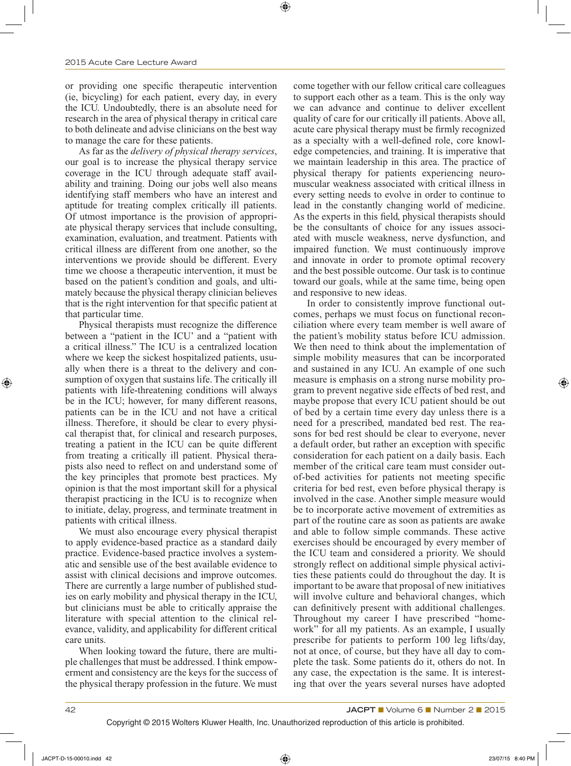or providing one specific therapeutic intervention (ie, bicycling) for each patient, every day, in every the ICU. Undoubtedly, there is an absolute need for research in the area of physical therapy in critical care to both delineate and advise clinicians on the best way to manage the care for these patients.

As far as the *delivery of physical therapy services*, our goal is to increase the physical therapy service coverage in the ICU through adequate staff availability and training. Doing our jobs well also means identifying staff members who have an interest and aptitude for treating complex critically ill patients. Of utmost importance is the provision of appropriate physical therapy services that include consulting, examination, evaluation, and treatment. Patients with critical illness are different from one another, so the interventions we provide should be different. Every time we choose a therapeutic intervention, it must be based on the patient's condition and goals, and ultimately because the physical therapy clinician believes that is the right intervention for that specific patient at that particular time.

Physical therapists must recognize the difference between a "patient in the ICU' and a "patient with a critical illness." The ICU is a centralized location where we keep the sickest hospitalized patients, usually when there is a threat to the delivery and consumption of oxygen that sustains life. The critically ill patients with life-threatening conditions will always be in the ICU; however, for many different reasons, patients can be in the ICU and not have a critical illness. Therefore, it should be clear to every physical therapist that, for clinical and research purposes, treating a patient in the ICU can be quite different from treating a critically ill patient. Physical therapists also need to reflect on and understand some of the key principles that promote best practices. My opinion is that the most important skill for a physical therapist practicing in the ICU is to recognize when to initiate, delay, progress, and terminate treatment in patients with critical illness.

We must also encourage every physical therapist to apply evidence-based practice as a standard daily practice. Evidence-based practice involves a systematic and sensible use of the best available evidence to assist with clinical decisions and improve outcomes. There are currently a large number of published studies on early mobility and physical therapy in the ICU, but clinicians must be able to critically appraise the literature with special attention to the clinical relevance, validity, and applicability for different critical care units.

When looking toward the future, there are multiple challenges that must be addressed. I think empowerment and consistency are the keys for the success of the physical therapy profession in the future. We must

come together with our fellow critical care colleagues to support each other as a team. This is the only way we can advance and continue to deliver excellent quality of care for our critically ill patients. Above all, acute care physical therapy must be firmly recognized as a specialty with a well-defined role, core knowledge competencies, and training. It is imperative that we maintain leadership in this area. The practice of physical therapy for patients experiencing neuromuscular weakness associated with critical illness in every setting needs to evolve in order to continue to lead in the constantly changing world of medicine. As the experts in this field, physical therapists should be the consultants of choice for any issues associated with muscle weakness, nerve dysfunction, and impaired function. We must continuously improve and innovate in order to promote optimal recovery and the best possible outcome. Our task is to continue toward our goals, while at the same time, being open and responsive to new ideas.

In order to consistently improve functional outcomes, perhaps we must focus on functional reconciliation where every team member is well aware of the patient's mobility status before ICU admission. We then need to think about the implementation of simple mobility measures that can be incorporated and sustained in any ICU. An example of one such measure is emphasis on a strong nurse mobility program to prevent negative side effects of bed rest, and maybe propose that every ICU patient should be out of bed by a certain time every day unless there is a need for a prescribed, mandated bed rest. The reasons for bed rest should be clear to everyone, never a default order, but rather an exception with specific consideration for each patient on a daily basis. Each member of the critical care team must consider outof-bed activities for patients not meeting specific criteria for bed rest, even before physical therapy is involved in the case. Another simple measure would be to incorporate active movement of extremities as part of the routine care as soon as patients are awake and able to follow simple commands. These active exercises should be encouraged by every member of the ICU team and considered a priority. We should strongly reflect on additional simple physical activities these patients could do throughout the day. It is important to be aware that proposal of new initiatives will involve culture and behavioral changes, which can definitively present with additional challenges. Throughout my career I have prescribed "homework" for all my patients. As an example, I usually prescribe for patients to perform 100 leg lifts/day, not at once, of course, but they have all day to complete the task. Some patients do it, others do not. In any case, the expectation is the same. It is interesting that over the years several nurses have adopted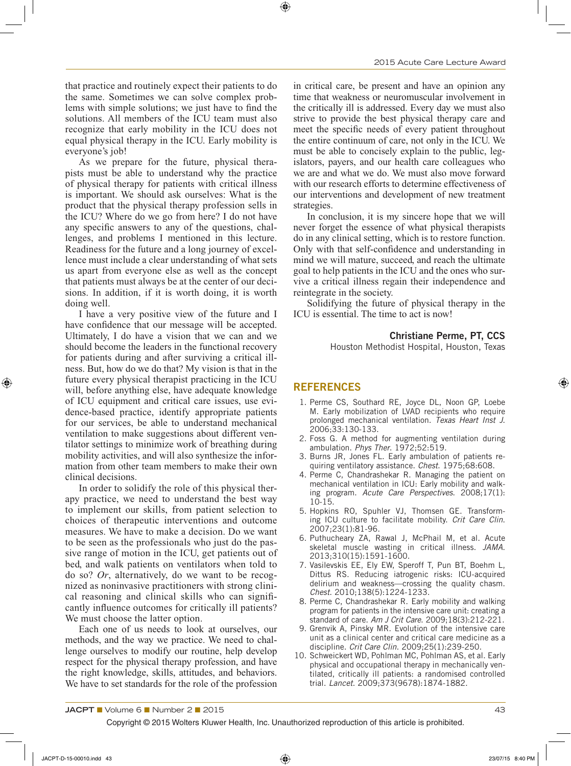that practice and routinely expect their patients to do the same. Sometimes we can solve complex problems with simple solutions; we just have to find the solutions. All members of the ICU team must also recognize that early mobility in the ICU does not equal physical therapy in the ICU. Early mobility is everyone's job!

As we prepare for the future, physical therapists must be able to understand why the practice of physical therapy for patients with critical illness is important. We should ask ourselves: What is the product that the physical therapy profession sells in the ICU? Where do we go from here? I do not have any specific answers to any of the questions, challenges, and problems I mentioned in this lecture. Readiness for the future and a long journey of excellence must include a clear understanding of what sets us apart from everyone else as well as the concept that patients must always be at the center of our decisions. In addition, if it is worth doing, it is worth doing well.

I have a very positive view of the future and I have confidence that our message will be accepted. Ultimately, I do have a vision that we can and we should become the leaders in the functional recovery for patients during and after surviving a critical illness. But, how do we do that? My vision is that in the future every physical therapist practicing in the ICU will, before anything else, have adequate knowledge of ICU equipment and critical care issues, use evidence-based practice, identify appropriate patients for our services, be able to understand mechanical ventilation to make suggestions about different ventilator settings to minimize work of breathing during mobility activities, and will also synthesize the information from other team members to make their own clinical decisions.

In order to solidify the role of this physical therapy practice, we need to understand the best way to implement our skills, from patient selection to choices of therapeutic interventions and outcome measures. We have to make a decision. Do we want to be seen as the professionals who just do the passive range of motion in the ICU, get patients out of bed, and walk patients on ventilators when told to do so? *Or*, alternatively, do we want to be recognized as noninvasive practitioners with strong clinical reasoning and clinical skills who can significantly influence outcomes for critically ill patients? We must choose the latter option.

Each one of us needs to look at ourselves, our methods, and the way we practice. We need to challenge ourselves to modify our routine, help develop respect for the physical therapy profession, and have the right knowledge, skills, attitudes, and behaviors. We have to set standards for the role of the profession in critical care, be present and have an opinion any time that weakness or neuromuscular involvement in the critically ill is addressed. Every day we must also strive to provide the best physical therapy care and meet the specific needs of every patient throughout the entire continuum of care, not only in the ICU. We must be able to concisely explain to the public, legislators, payers, and our health care colleagues who we are and what we do. We must also move forward with our research efforts to determine effectiveness of our interventions and development of new treatment strategies.

In conclusion, it is my sincere hope that we will never forget the essence of what physical therapists do in any clinical setting, which is to restore function. Only with that self-confidence and understanding in mind we will mature, succeed, and reach the ultimate goal to help patients in the ICU and the ones who survive a critical illness regain their independence and reintegrate in the society.

Solidifying the future of physical therapy in the ICU is essential. The time to act is now!

> **Christiane Perme, PT, CCS** Houston Methodist Hospital, Houston, Texas

## **REFERENCES**

- 1. Perme CS, Southard RE, Joyce DL, Noon GP, Loebe M. Early mobilization of LVAD recipients who require prolonged mechanical ventilation. *Texas Heart Inst J*. 2006;33:130-133.
- 2. Foss G. A method for augmenting ventilation during ambulation. *Phys Ther*. 1972;52:519.
- 3. Burns JR, Jones FL. Early ambulation of patients requiring ventilatory assistance. *Chest*. 1975;68:608.
- 4. Perme C, Chandrashekar R. Managing the patient on mechanical ventilation in ICU: Early mobility and walking program. *Acute Care Perspectives*. 2008;17(1): 10-15.
- 5. Hopkins RO, Spuhler VJ, Thomsen GE. Transforming ICU culture to facilitate mobility. *Crit Care Clin*. 2007;23(1):81-96.
- 6. Puthucheary ZA, Rawal J, McPhail M, et al. Acute skeletal muscle wasting in critical illness. *JAMA*. 2013;310(15):1591-1600.
- 7. Vasilevskis EE, Ely EW, Speroff T, Pun BT, Boehm L, Dittus RS. Reducing iatrogenic risks: ICU-acquired delirium and weakness—crossing the quality chasm. *Chest*. 2010;138(5):1224-1233.
- 8. Perme C, Chandrashekar R. Early mobility and walking program for patients in the intensive care unit: creating a standard of care. *Am J Crit Care*. 2009;18(3):212-221.
- 9. Grenvik A, Pinsky MR. Evolution of the intensive care unit as a clinical center and critical care medicine as a discipline. *Crit Care Clin*. 2009;25(1):239-250.
- 10. Schweickert WD, Pohlman MC, Pohlman AS, et al. Early physical and occupational therapy in mechanically ventilated, critically ill patients: a randomised controlled trial. *Lancet*. 2009;373(9678):1874-1882.

**JACPT** ■ Volume 6 ■ Number 2 ■ 2015 43